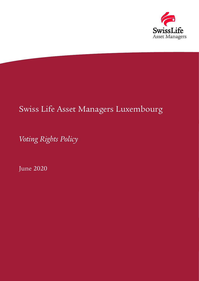

# Swiss Life Asset Managers Luxembourg

*Voting Rights Policy*

June 2020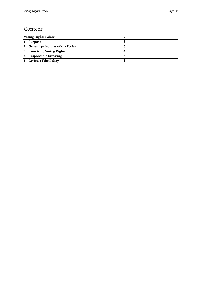### Content

| <b>Voting Rights Policy</b>         |   |
|-------------------------------------|---|
| 1. Purpose                          |   |
| 2. General principles of the Policy |   |
| 3. Exercising Voting Rights         |   |
| 4. Responsible Investing            | ь |
| 5. Review of the Policy             |   |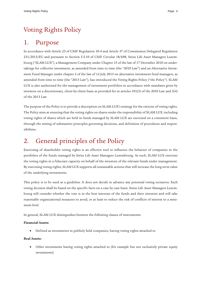# <span id="page-2-0"></span>Voting Rights Policy

### <span id="page-2-1"></span>1. Purpose

In accordance with Article 23 of CSSF Regulation 10-4 and Article 37 of Commission Delegated Regulation 231/2013/EU and pursuant to Section 5.5.10 of CSSF Circular 18/698, Swiss Life Asset Managers Luxembourg ("SLAM LUX"), a Management Company under Chapter 15 of the law of 17 December 2010 on undertakings for collective investment, as amended from time to time (the "2010 Law") and an Alternative Investment Fund Manager under chapter 2 of the law of 12 July 2013 on alternative investment fund managers, as amended from time to time (the "2013 Law"), has introduced the Voting Rights Policy ("the Policy"). SLAM LUX is also authorised for the management of investment portfolios in accordance with mandates given by investors on a discretionary, client-by-client basis as provided for in articles 101(3) of the 2010 Law and 5(4) of the 2013 Law.

The purpose of the Policy is to provide a description on SLAM LUX's strategy for the exercise of voting rights. The Policy aims at ensuring that the voting rights on shares under the responsibility of SLAM LUX, including voting rights of shares which are held in funds managed by SLAM LUX are exercised on a consistent basis, through the setting of substantive principles governing decisions, and definition of procedures and responsibilities.

# <span id="page-2-2"></span>2. General principles of the Policy

Exercising of shareholder voting rights is an effective tool to influence the behavior of companies in the portfolios of the funds managed by Swiss Life Asset Managers Luxembourg. As such, SLAM LUX exercises the voting rights in a fiduciary capacity on behalf of the investors of the relevant funds under management. By exercising voting rights, SLAM LUX supports all sustainable actions that will increase the long-term value of the underlying investments.

This policy is to be used as a guideline. It does not decide in advance any potential voting scenarios. Each voting decision shall be based on the specific facts on a case by case basis. Swiss Life Asset Managers Luxembourg will consider whether the vote is in the best interests of the funds and their investors and will take reasonable organizational measures to avoid, or at least to reduce the risk of conflicts of interest to a minimum level.

In general, SLAM LUX distinguishes between the following classes of instruments:

#### **Financial Assets:**

• Defined as investments in publicly held companies, having voting rights attached to

#### **Real Assets:**

• Other investments having voting rights attached to (for example but not exclusively private equity investments)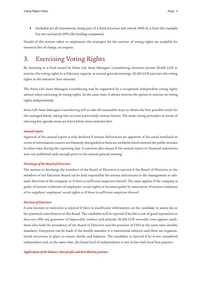• Excluded are all investments, being part of a fund structure and owned 100% by a fund (for example but not exclusively SPVs like holding companies)

Details of the actions taken to implement the strategies for the exercise of voting rights are available for investors free of charge, on request.

## <span id="page-3-0"></span>3. Exercising Voting Rights

By investing in a fund issued by Swiss Life Asset Managers Luxembourg, investors permit SLAM LUX to exercise the voting rights in a fiduciary capacity at annual general meetings. SLAM LUX exercises the voting rights in the investors' best interests.

The Swiss Life Asset Managers Luxembourg may be supported by a recognised, independent voting rights advisor when exercising its voting rights. At the same time, it always reserves the option to exercise its voting rights independently.

Swiss Life Asset Managers Luxembourg will to take all reasonable steps to obtain the best possible result for the managed funds, taking into account particularly various factors. The main voting principles in terms of selecting key agenda items are listed below (non-exclusive list):

#### *Annual report*

Approval of the annual report is only declined if serious deficiencies are apparent, if the usual standards in terms of information content are blatantly disregarded or facts are withheld which entered the public domain in other ways during the reporting year. A rejection also ensues if the annual report or financial statements were not published early enough prior to the annual general meeting.

#### *Discharge of the Board of Directors*

The motion to discharge the members of the Board of Directors is rejected if the Board of Directors or the members of the Executive Board can be held responsible for serious deficiencies in the management or ultimate direction of the company or if there is sufficient suspicion thereof. The same applies if the company is guilty of serious violations of employees' social rights or becomes guilty by association of serious violations of its suppliers' employees' social rights or if there is sufficient suspicion thereof.

#### *Election of Directors*

A new election or reelection is rejected if there is insufficient information on the candidate to assess his or her potential contribution to the Board. The candidate will be rejected if he/she is not of good reputation or does not offer any guarantee of impeccable conduct and attitude. SLAM LUX normally votes against candidates who hold the presidency of the Board of Directors and the position of CEO at the same time (double mandate). Exceptions can be made if the double mandate is a transitional solution and there are organizational structures in place to ensure checks and balances. The candidate is rejected if he is not considered independent and, at the same time, the board level of independence is not in line with local best practice.

#### *Application of the balance sheet profit and distribution practice*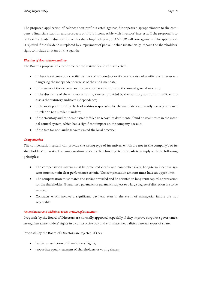The proposed application of balance sheet profit is voted against if it appears disproportionate to the company's financial situation and prospects or if it is incompatible with investors' interests. If the proposal is to replace the dividend distribution with a share buy-back plan, SLAM LUX will vote against it. The application is rejected if the dividend is replaced by a repayment of par value that substantially impairs the shareholders' right to include an item on the agenda.

#### *Election of the statutory auditor*

The Board's proposal to elect or reelect the statutory auditor is rejected,

- if there is evidence of a specific instance of misconduct or if there is a risk of conflicts of interest endangering the independent exercise of the audit mandate;
- if the name of the external auditor was not provided prior to the annual general meeting;
- if the disclosure of the various consulting services provided by the statutory auditor is insufficient to assess the statutory auditors' independence;
- if the work performed by the lead auditor responsible for the mandate was recently severely criticized in relation to a similar mandate;
- if the statutory auditor demonstrably failed to recognize detrimental fraud or weaknesses in the internal control system, which had a significant impact on the company's result;
- if the fees for non-audit services exceed the local practice.

#### *Compensation*

The compensation system can provide the wrong type of incentives, which are not in the company's or its shareholders' interests. The compensation report is therefore rejected if it fails to comply with the following principles:

- The compensation system must be presented clearly and comprehensively. Long-term incentive systems must contain clear performance criteria. The compensation amount must have an upper limit.
- The compensation must match the service provided and be oriented to long-term capital appreciation for the shareholder. Guaranteed payments or payments subject to a large degree of discretion are to be avoided.
- Contracts which involve a significant payment even in the event of managerial failure are not acceptable.

#### *Amendments and additions to the articles of association*

Proposals by the Board of Directors are normally approved, especially if they improve corporate governance, strengthen shareholders' rights in a constructive way and eliminate inequalities between types of share.

Proposals by the Board of Directors are rejected, if they

- lead to a restriction of shareholders' rights;
- jeopardize equal treatment of shareholders or voting shares;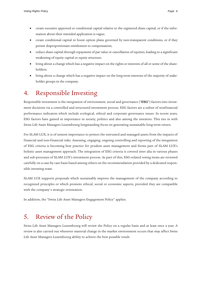- create excessive approved or conditional capital relative to the registered share capital, or if the information about their intended application is vague;
- create conditional capital to boost option plans governed by non-transparent conditions, or if they permit disproportionate entitlement to compensation;
- reduce share capital through repayment of par value or cancellation of equities, leading to a significant weakening of equity capital or equity structure;
- bring about a change which has a negative impact on the rights or interests of all or some of the shareholders;
- bring about a change which has a negative impact on the long-term interests of the majority of stakeholder groups in the company.

### <span id="page-5-0"></span>4. Responsible Investing

Responsible investment is the integration of environment, social and governance ("**ESG**") factors into investment decisions via a controlled and structured investment process. ESG factors are a subset of nonfinancial performance indicators which include ecological, ethical and corporate governance issues. In recent years, ESG factors have gained in importance in society, politics and also among the investors. This ties in with Swiss Life Asset Managers Luxembourg longstanding focus on generating sustainable long-term return.

For SLAM LUX, it is of utmost importance to protect the entrusted and managed assets from the impacts of financial and non-financial risks. Assessing, engaging, ongoing controlling and reporting of the integration of ESG criteria is becoming best practice for prudent asset management and forms part of SLAM LUX's holistic asset management approach. The integration of ESG criteria is covered inter alia in various phases and sub-processes of SLAM LUX's investment process. As part of this, ESG-related voting items are reviewed carefully on a case-by case basis based among others on the recommendation provided by a dedicated responsible investing team.

SLAM LUX supports proposals which sustainably improve the management of the company according to recognized principles or which promote ethical, social or economic aspects, provided they are compatible with the company's strategic orientation.

In addition, the "Swiss Life Asset Managers Engagement Policy" applies.

### <span id="page-5-1"></span>5. Review of the Policy

Swiss Life Asset Managers Luxembourg will review the Policy on a regular basis and at least once a year. A review is also carried out whenever material change in the market environment occurs that may affect Swiss Life Asset Managers Luxembourg ability to achieve the best possible result.